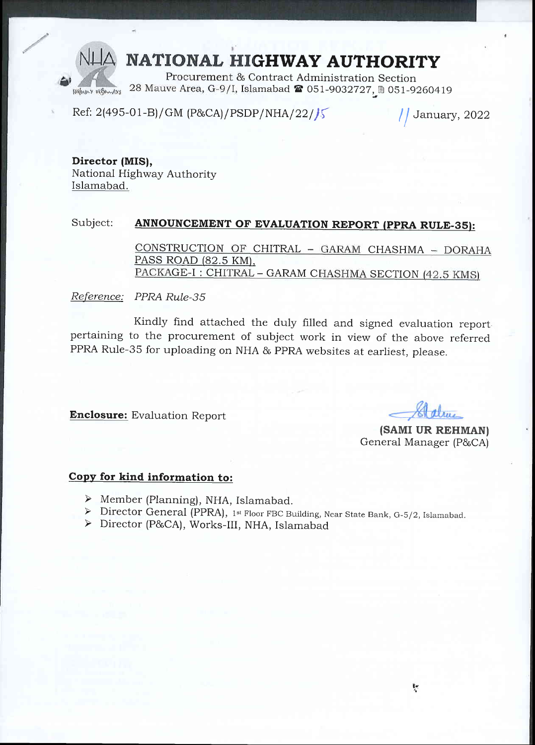## NATIONAL HIGHWAY AUTHORITY

Procurement & Contract Administration Section 28 Mauve Area, G-9/I, Islamabad 2 051-9032727, @ 051-9260419 FRIANDLY HIRMAYS

Ref: 2(495-01-B)/GM (P&CA)/PSDP/NHA/22//5

January, 2022

Director (MIS). National Highway Authority Islamabad.

#### Subject: ANNOUNCEMENT OF EVALUATION REPORT (PPRA RULE-35):

CONSTRUCTION OF CHITRAL - GARAM CHASHMA - DORAHA PASS ROAD (82.5 KM), PACKAGE-I: CHITRAL - GARAM CHASHMA SECTION (42.5 KMS)

#### Reference: PPRA Rule-35

Kindly find attached the duly filled and signed evaluation reportpertaining to the procurement of subject work in view of the above referred PPRA Rule-35 for uploading on NHA & PPRA websites at earliest, please.

**Enclosure:** Evaluation Report

(SAMI UR REHMAN) General Manager (P&CA)

### Copy for kind information to:

- $\triangleright$  Member (Planning), NHA, Islamabad.
- > Director General (PPRA), 1st Floor FBC Building, Near State Bank, G-5/2, Islamabad.
- > Director (P&CA), Works-III, NHA, Islamabad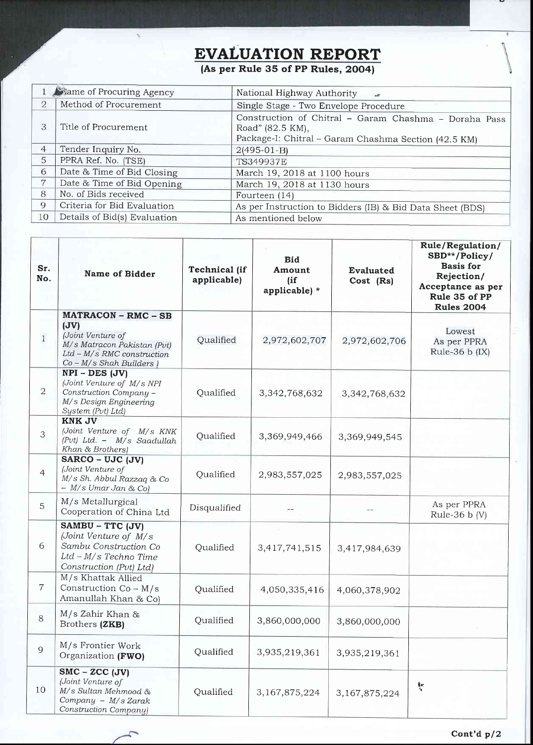# EVALUATION REPORT

(As per Rule 35 of PP Rules, 2004)

|                | <b>Name of Procuring Agency</b> | National Highway Authority<br>$\overline{a}$                              |  |  |  |
|----------------|---------------------------------|---------------------------------------------------------------------------|--|--|--|
| $\overline{2}$ | Method of Procurement           | Single Stage - Two Envelope Procedure                                     |  |  |  |
| 3              | Title of Procurement            | Construction of Chitral - Garam Chashma - Doraha Pass<br>Road" (82.5 KM), |  |  |  |
|                |                                 | Package-I: Chitral - Garam Chashma Section (42.5 KM)                      |  |  |  |
| 4              | Tender Inquiry No.              | $2(495-01-B)$                                                             |  |  |  |
| 5              | PPRA Ref. No. (TSE)             | <b>TS349937E</b>                                                          |  |  |  |
| 6              | Date & Time of Bid Closing      | March 19, 2018 at 1100 hours                                              |  |  |  |
| 7              | Date & Time of Bid Opening      | March 19, 2018 at 1130 hours                                              |  |  |  |
| 8              | No. of Bids received            | Fourteen (14)                                                             |  |  |  |
| 9              | Criteria for Bid Evaluation     | As per Instruction to Bidders (IB) & Bid Data Sheet (BDS)                 |  |  |  |
| 10             | Details of Bid(s) Evaluation    | As mentioned below                                                        |  |  |  |

| Sr.<br>No.     | <b>Name of Bidder</b>                                                                                                                                         | <b>Technical</b> (if<br>applicable) | <b>Bid</b><br>Amount<br>(if)<br>applicable) * | <b>Evaluated</b><br>Cost (Rs) | Rule/Regulation/<br>SBD**/Policy/<br><b>Basis</b> for<br>Rejection/<br>Acceptance as per<br>Rule 35 of PP<br><b>Rules 2004</b> |
|----------------|---------------------------------------------------------------------------------------------------------------------------------------------------------------|-------------------------------------|-----------------------------------------------|-------------------------------|--------------------------------------------------------------------------------------------------------------------------------|
| $\mathbf{1}$   | <b>MATRACON - RMC - SB</b><br>$(\mathbf{JV})$<br>(Joint Venture of<br>M/s Matracon Pakistan (Pvt)<br>Ltd - M/s RMC construction<br>$Co - M/s$ Shah Builders ) | Qualified                           | 2,972,602,707                                 | 2,972,602,706                 | Lowest<br>As per PPRA<br>Rule-36 b (IX)                                                                                        |
| $\overline{2}$ | $NPI - DES (JV)$<br>(Joint Venture of M/s NPI<br>Construction Company -<br>M/s Design Engineering<br>System (Pvt) Ltd)                                        | Qualified                           | 3,342,768,632                                 | 3,342,768,632                 |                                                                                                                                |
| 3              | <b>KNK JV</b><br>(Joint Venture of M/s KNK<br>(Pvt) Ltd. - M/s Saadullah<br>Khan & Brothers)                                                                  | Qualified                           | 3,369,949,466                                 | 3,369,949,545                 |                                                                                                                                |
| $\overline{4}$ | SARCO - UJC (JV)<br>(Joint Venture of<br>M/s Sh. Abbul Razzaq & Co<br>$- M/s$ Umar Jan & Col                                                                  | Qualified                           | 2,983,557,025                                 | 2,983,557,025                 |                                                                                                                                |
| 5              | M/s Metallurgical<br>Cooperation of China Ltd                                                                                                                 | Disqualified                        |                                               |                               | As per PPRA<br>Rule-36 $b(V)$                                                                                                  |
| 6              | SAMBU - TTC (JV)<br>(Joint Venture of M/s<br>Sambu Construction Co<br>Ltd - M/s Techno Time<br>Construction (Pvt) Ltd)                                        | Qualified                           | 3,417,741,515                                 | 3,417,984,639                 |                                                                                                                                |
| $\overline{7}$ | M/s Khattak Allied<br>Construction $Co - M/s$<br>Amanullah Khan & Co)                                                                                         | Qualified                           | 4,050,335,416                                 | 4,060,378,902                 |                                                                                                                                |
| 8              | $M/s$ Zahir Khan &<br>Brothers (ZKB)                                                                                                                          | Qualified                           | 3,860,000,000                                 | 3,860,000,000                 |                                                                                                                                |
| 9              | M/s Frontier Work<br>Organization (FWO)                                                                                                                       | Qualified                           | 3,935,219,361                                 | 3,935,219,361                 |                                                                                                                                |
| 10             | $SMC - ZCC$ (JV)<br>(Joint Venture of<br>M/s Sultan Mehmood &<br>Company - M/s Zarak<br>Construction Company)                                                 | Qualified                           | 3,167,875,224                                 | 3,167,875,224                 | $\frac{1}{2}$                                                                                                                  |



s,

 $\sqrt{ }$